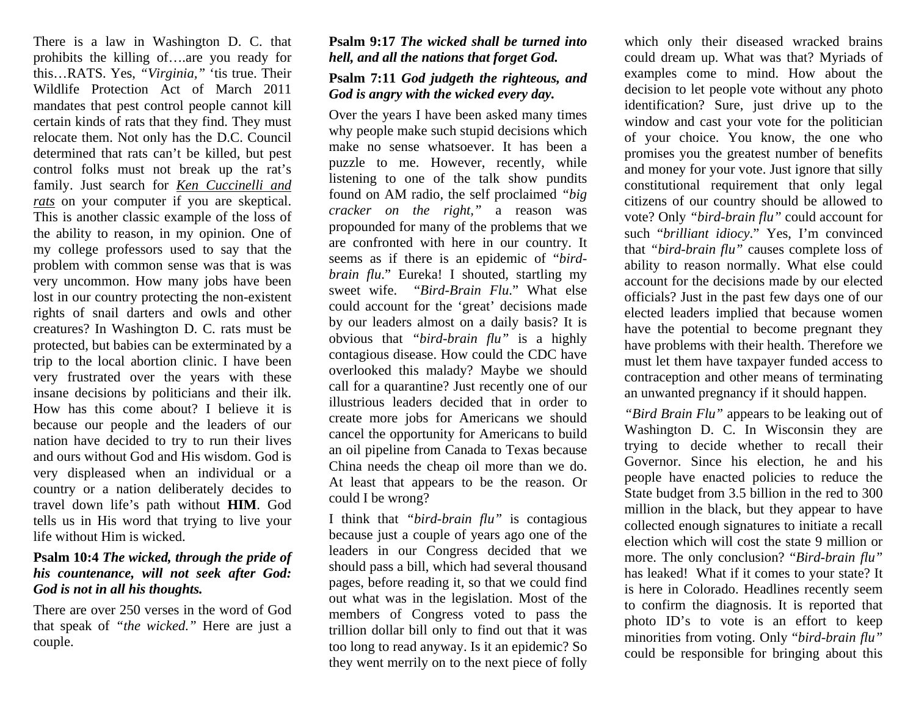There is a law in Washington D. C. that prohibits the killing of….are you ready for this…RATS. Yes, *"Virginia,"* 'tis true. Their Wildlife Protection Act of March 2011 mandates that pest control people cannot kill certain kinds of rats that they find. They must relocate them. Not only has the D.C. Council determined that rats can't be killed, but pest control folks must not break up the rat's family. Just search for *Ken Cuccinelli and rats* on your computer if you are skeptical. This is another classic example of the loss of the ability to reason, in my opinion. One of my college professors used to say that the problem with common sense was that is was very uncommon. How many jobs have been lost in our country protecting the non-existent rights of snail darters and owls and other creatures? In Washington D. C. rats must be protected, but babies can be exterminated by a trip to the local abortion clinic. I have been very frustrated over the years with these insane decisions by politicians and their ilk. How has this come about? I believe it is because our people and the leaders of our nation have decided to try to run their lives and ours without God and His wisdom. God is very displeased when an individual or a country or a nation deliberately decides to travel down life's path without **HIM**. God tells us in His word that trying to live your life without Him is wicked.

## **Psalm 10:4** *The wicked, through the pride of his countenance, will not seek after God: God is not in all his thoughts.*

There are over 250 verses in the word of God that speak of *"the wicked."* Here are just a couple.

## **Psalm 9:17** *The wicked shall be turned into hell, and all the nations that forget God.* **Psalm 7:11** *God judgeth the righteous, and God is angry with the wicked every day.*

Over the years I have been asked many times why people make such stupid decisions which make no sense whatsoever. It has been a puzzle to me. However, recently, while listening to one of the talk show pundits found on AM radio, the self proclaimed *"big cracker on the right,"* a reason was propounded for many of the problems that we are confronted with here in our country. It seems as if there is an epidemic of "*birdbrain flu*." Eureka! I shouted, startling my sweet wife. "*Bird-Brain Flu*." What else could account for the 'great' decisions made by our leaders almost on a daily basis? It is obvious that *"bird-brain flu"* is a highly contagious disease. How could the CDC have overlooked this malady? Maybe we should call for a quarantine? Just recently one of our illustrious leaders decided that in order to create more jobs for Americans we should cancel the opportunity for Americans to build an oil pipeline from Canada to Texas because China needs the cheap oil more than we do. At least that appears to be the reason. Or could I be wrong?

I think that *"bird-brain flu"* is contagious because just a couple of years ago one of the leaders in our Congress decided that we should pass a bill, which had several thousand pages, before reading it, so that we could find out what was in the legislation. Most of the members of Congress voted to pass the trillion dollar bill only to find out that it was too long to read anyway. Is it an epidemic? So they went merrily on to the next piece of folly

which only their diseased wracked brains could dream up. What was that? Myriads of examples come to mind. How about the decision to let people vote without any photo identification? Sure, just drive up to the window and cast your vote for the politician of your choice. You know, the one who promises you the greatest number of benefits and money for your vote. Just ignore that silly constitutional requirement that only legal citizens of our country should be allowed to vote? Only *"bird-brain flu"* could account for such "*brilliant idiocy*." Yes, I'm convinced that *"bird-brain flu"* causes complete loss of ability to reason normally. What else could account for the decisions made by our elected officials? Just in the past few days one of our elected leaders implied that because women have the potential to become pregnant they have problems with their health. Therefore we must let them have taxpayer funded access to contraception and other means of terminating an unwanted pregnancy if it should happen.

*"Bird Brain Flu"* appears to be leaking out of Washington D. C. In Wisconsin they are trying to decide whether to recall their Governor. Since his election, he and his people have enacted policies to reduce the State budget from 3.5 billion in the red to 300 million in the black, but they appear to have collected enough signatures to initiate a recall election which will cost the state 9 million or more. The only conclusion? "*Bird-brain flu"* has leaked! What if it comes to your state? It is here in Colorado. Headlines recently seem to confirm the diagnosis. It is reported that photo ID's to vote is an effort to keep minorities from voting. Only "*bird-brain flu"* could be responsible for bringing about this